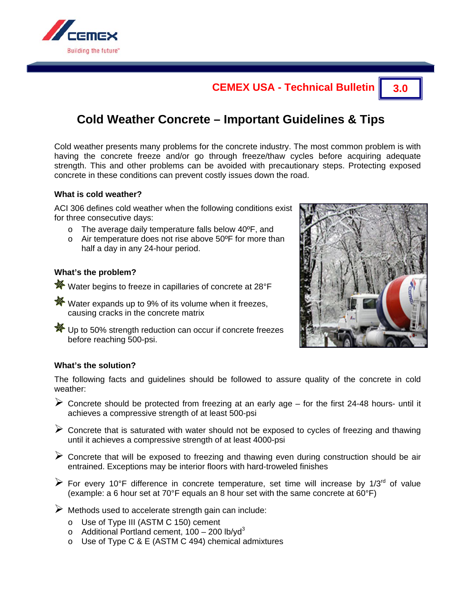

## **CEMEX USA - Technical Bulletin 3.0**

# **Cold Weather Concrete – Important Guidelines & Tips**

Cold weather presents many problems for the concrete industry. The most common problem is with having the concrete freeze and/or go through freeze/thaw cycles before acquiring adequate strength. This and other problems can be avoided with precautionary steps. Protecting exposed concrete in these conditions can prevent costly issues down the road.

#### **What is cold weather?**

ACI 306 defines cold weather when the following conditions exist for three consecutive days:

- o The average daily temperature falls below 40ºF, and
- o Air temperature does not rise above 50ºF for more than half a day in any 24-hour period.

#### **What's the problem?**

- **\*\*** Water begins to freeze in capillaries of concrete at 28°F
- **※** Water expands up to 9% of its volume when it freezes, causing cracks in the concrete matrix
- **※** Up to 50% strength reduction can occur if concrete freezes before reaching 500-psi.



#### **What's the solution?**

The following facts and guidelines should be followed to assure quality of the concrete in cold weather:

- $\triangleright$  Concrete should be protected from freezing at an early age for the first 24-48 hours- until it achieves a compressive strength of at least 500-psi
- $\triangleright$  Concrete that is saturated with water should not be exposed to cycles of freezing and thawing until it achieves a compressive strength of at least 4000-psi
- $\triangleright$  Concrete that will be exposed to freezing and thawing even during construction should be air entrained. Exceptions may be interior floors with hard-troweled finishes
- $\triangleright$  For every 10°F difference in concrete temperature, set time will increase by 1/3<sup>rd</sup> of value (example: a 6 hour set at 70°F equals an 8 hour set with the same concrete at 60°F)
- $\triangleright$  Methods used to accelerate strength gain can include:
	- o Use of Type III (ASTM C 150) cement
	- $\circ$  Additional Portland cement, 100 200 lb/yd<sup>3</sup>
	- o Use of Type C & E (ASTM C 494) chemical admixtures